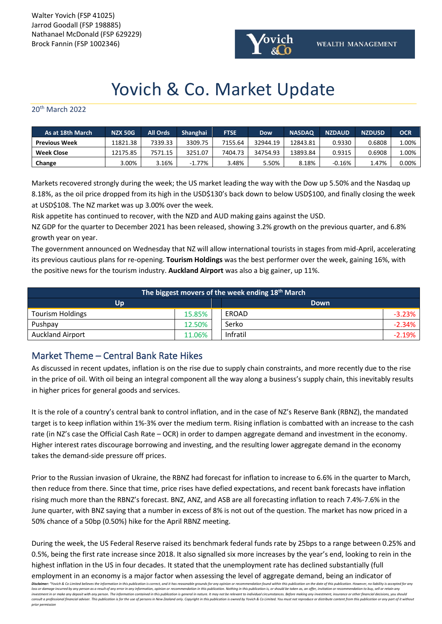Walter Yovich (FSP 41025) Jarrod Goodall (FSP 198885) Nathanael McDonald (FSP 629229) Brock Fannin (FSP 1002346)



# Yovich & Co. Market Update

## 20th March 2022

| As at 18th March     | <b>NZX 50G</b> | All Ords | Shanghai  | <b>FTSE</b> | <b>Dow</b> | <b>NASDAQ</b> | <b>NZDAUD</b> | <b>NZDUSD</b> | OCR   |
|----------------------|----------------|----------|-----------|-------------|------------|---------------|---------------|---------------|-------|
| <b>Previous Week</b> | 11821.38       | 7339.33  | 3309.75   | 7155.64     | 32944.19   | 12843.81      | 0.9330        | 0.6808        | 1.00% |
| <b>Week Close</b>    | L2175.85       | 7571.15  | 3251.07   | 7404.73     | 34754.93   | 13893.84      | 0.9315        | 0.6908        | 1.00% |
| Change               | 3.00%          | 3.16%    | $-1.77\%$ | 3.48%       | 5.50%      | 8.18%         | $-0.16%$      | 1.47%         | 0.00% |

Markets recovered strongly during the week; the US market leading the way with the Dow up 5.50% and the Nasdaq up 8.18%, as the oil price dropped from its high in the USD\$130's back down to below USD\$100, and finally closing the week at USD\$108. The NZ market was up 3.00% over the week.

Risk appetite has continued to recover, with the NZD and AUD making gains against the USD.

NZ GDP for the quarter to December 2021 has been released, showing 3.2% growth on the previous quarter, and 6.8% growth year on year.

The government announced on Wednesday that NZ will allow international tourists in stages from mid-April, accelerating its previous cautious plans for re-opening. **Tourism Holdings** was the best performer over the week, gaining 16%, with the positive news for the tourism industry. **Auckland Airport** was also a big gainer, up 11%.

| The biggest movers of the week ending 18 <sup>th</sup> March |        |  |             |           |  |  |  |  |  |
|--------------------------------------------------------------|--------|--|-------------|-----------|--|--|--|--|--|
| Up                                                           |        |  | <b>Down</b> |           |  |  |  |  |  |
| <b>Tourism Holdings</b>                                      | 15.85% |  | EROAD       | $-3.23\%$ |  |  |  |  |  |
| Pushpay                                                      | 12.50% |  | Serko       | $-2.34\%$ |  |  |  |  |  |
| <b>Auckland Airport</b>                                      | 11.06% |  | Infratil    | $-2.19%$  |  |  |  |  |  |

# Market Theme – Central Bank Rate Hikes

As discussed in recent updates, inflation is on the rise due to supply chain constraints, and more recently due to the rise in the price of oil. With oil being an integral component all the way along a business's supply chain, this inevitably results in higher prices for general goods and services.

It is the role of a country's central bank to control inflation, and in the case of NZ's Reserve Bank (RBNZ), the mandated target is to keep inflation within 1%-3% over the medium term. Rising inflation is combatted with an increase to the cash rate (in NZ's case the Official Cash Rate – OCR) in order to dampen aggregate demand and investment in the economy. Higher interest rates discourage borrowing and investing, and the resulting lower aggregate demand in the economy takes the demand-side pressure off prices.

Prior to the Russian invasion of Ukraine, the RBNZ had forecast for inflation to increase to 6.6% in the quarter to March, then reduce from there. Since that time, price rises have defied expectations, and recent bank forecasts have inflation rising much more than the RBNZ's forecast. BNZ, ANZ, and ASB are all forecasting inflation to reach 7.4%-7.6% in the June quarter, with BNZ saying that a number in excess of 8% is not out of the question. The market has now priced in a 50% chance of a 50bp (0.50%) hike for the April RBNZ meeting.

During the week, the US Federal Reserve raised its benchmark federal funds rate by 25bps to a range between 0.25% and 0.5%, being the first rate increase since 2018. It also signalled six more increases by the year's end, looking to rein in the highest inflation in the US in four decades. It stated that the unemployment rate has declined substantially (full employment in an economy is a major factor when assessing the level of aggregate demand, being an indicator of

**Disclaimer: "**Yovich & Co Limited believes the information in this publication is correct, and it has reasonable grounds for any opinion or recommendation found within this publication on the date of this publication. How investment in or make any deposit with any person. The information contained in this publication is general in nature. It may not be relevant to individual circumstances. Before making any investment, insurance or other fi consult a professional financial adviser. This publication is for the use of persons in New Zealand only. Copyright in this publication is owned by Yovich & Co Limited. You must not reproduce or distribute content from thi *prior permission*